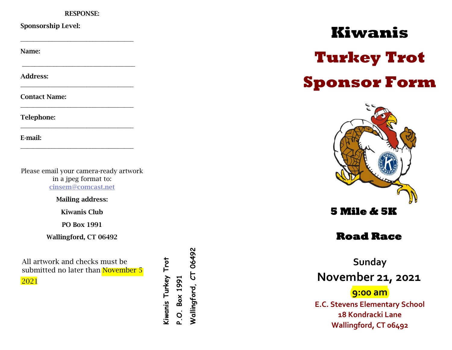### RESPONSE:

**\_\_\_\_\_\_\_\_\_\_\_\_\_\_\_\_\_\_\_\_\_\_\_\_\_\_\_\_\_\_\_\_\_\_\_\_**

**\_\_\_\_\_\_\_\_\_\_\_\_\_\_\_\_\_\_\_\_\_\_\_\_\_\_\_\_\_\_\_\_\_\_\_\_**

**\_\_\_\_\_\_\_\_\_\_\_\_\_\_\_\_\_\_\_\_\_\_\_\_\_\_\_\_\_\_\_\_\_\_\_\_**

**\_\_\_\_\_\_\_\_\_\_\_\_\_\_\_\_\_\_\_\_\_\_\_\_\_\_\_\_\_\_\_\_\_\_\_\_**

**\_\_\_\_\_\_\_\_\_\_\_\_\_\_\_\_\_\_\_\_\_\_\_\_\_\_\_\_\_\_\_\_\_\_\_\_**

**\_\_\_\_\_\_\_\_\_\_\_\_\_\_\_\_\_\_\_\_\_\_\_\_\_\_\_\_\_\_\_\_\_\_\_\_**

## Sponsorship Level:

Name:

Address:

Contact Name:

Telephone:

E-mail:

Please email your camera-ready artwork in a jpeg format to: [cinsem@comcast.net](mailto:cinsem@comcast.net)

Mailing address:

Kiwanis Club

PO Box 1991

Wallingford, CT 06492

All artwork and checks must be submitted no later than November 5 2021

Kiwanis Turkey Trot **Kiwanis Turkey**  P.O. Box 1991 **P.O. Box 1991**

Wallingford, CT 06492 **Wallingford, CT 06492**

# **Kiwanis Turkey Trot Sponsor Form**



**Road Race** 

**Sunday November 21, 2021 9:00 am E.C. Stevens Elementary School 18 Kondracki Lane** 

**Wallingford, CT 06492**